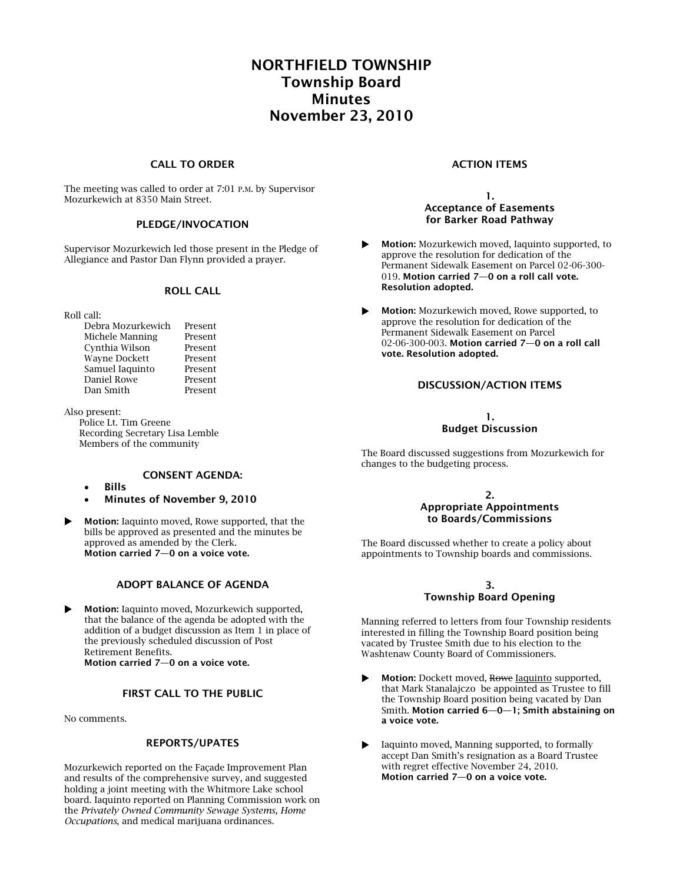# **NORTHFIELD TOWNSHIP Township Board Minutes November 23, 2010**

## **CALL TO ORDER**

The meeting was called to order at 7:01 P.M. by Supervisor Mozurkewich at 8350 Main Street.

## **PLEDGE/INVOCATION**

Supervisor Mozurkewich led those present in the Pledge of Allegiance and Pastor Dan Flynn provided a prayer.

#### **ROLL CALL**

Roll call:

| Debra Mozurkewich    | Present |
|----------------------|---------|
| Michele Manning      | Present |
| Cynthia Wilson       | Present |
| <b>Wayne Dockett</b> | Present |
| Samuel Iaquinto      | Present |
| Daniel Rowe          | Present |
| Dan Smith            | Present |
|                      |         |

Also present:

Police Lt. Tim Greene Recording Secretary Lisa Lemble Members of the community

## **CONSENT AGENDA:**

- **Bills**
- **Minutes of November 9, 2010**
- **Motion:** Iaquinto moved, Rowe supported, that the bills be approved as presented and the minutes be approved as amended by the Clerk. **Motion carried 7—0 on a voice vote.**

## **ADOPT BALANCE OF AGENDA**

 **Motion:** Iaquinto moved, Mozurkewich supported, that the balance of the agenda be adopted with the addition of a budget discussion as Item 1 in place of the previously scheduled discussion of Post Retirement Benefits. **Motion carried 7—0 on a voice vote.** 

## **FIRST CALL TO THE PUBLIC**

No comments.

## **REPORTS/UPATES**

Mozurkewich reported on the Façade Improvement Plan and results of the comprehensive survey, and suggested holding a joint meeting with the Whitmore Lake school board. Iaquinto reported on Planning Commission work on the *Privately Owned Community Sewage Systems, Home Occupations*, and medical marijuana ordinances.

#### **ACTION ITEMS**

**1. Acceptance of Easements for Barker Road Pathway**

- **Motion:** Mozurkewich moved, Iaquinto supported, to approve the resolution for dedication of the Permanent Sidewalk Easement on Parcel 02-06-300- 019. **Motion carried 7—0 on a roll call vote. Resolution adopted.**
- **Motion:** Mozurkewich moved, Rowe supported, to approve the resolution for dedication of the Permanent Sidewalk Easement on Parcel 02-06-300-003. **Motion carried 7—0 on a roll call vote. Resolution adopted.**

#### **DISCUSSION/ACTION ITEMS**

#### **1. Budget Discussion**

The Board discussed suggestions from Mozurkewich for changes to the budgeting process.

#### **2. Appropriate Appointments to Boards/Commissions**

The Board discussed whether to create a policy about appointments to Township boards and commissions.

#### **3. Township Board Opening**

Manning referred to letters from four Township residents interested in filling the Township Board position being vacated by Trustee Smith due to his election to the Washtenaw County Board of Commissioners.

- **Motion:** Dockett moved, Rowe **Iaquinto** supported, that Mark Stanalajczo be appointed as Trustee to fill the Township Board position being vacated by Dan Smith. **Motion carried 6—0—1; Smith abstaining on a voice vote.**
- Iaquinto moved, Manning supported, to formally accept Dan Smith's resignation as a Board Trustee with regret effective November 24, 2010. **Motion carried 7—0 on a voice vote.**